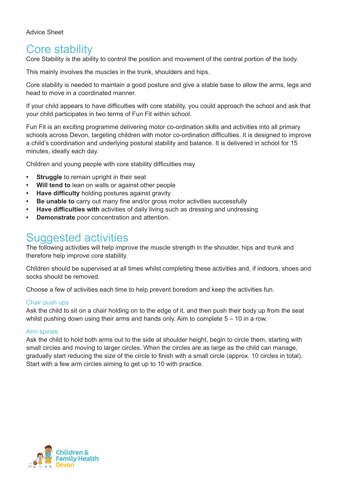## Advice Sheet

# Core stability

Core Stability is the ability to control the position and movement of the central portion of the body.

This mainly involves the muscles in the trunk, shoulders and hips.

Core stability is needed to maintain a good posture and give a stable base to allow the arms, legs and head to move in a coordinated manner.

If your child appears to have difficulties with core stability, you could approach the school and ask that your child participates in two terms of Fun Fit within school.

Fun Fit is an exciting programme delivering motor co-ordination skills and activities into all primary schools across Devon, targeting children with motor co-ordination difficulties. It is designed to improve a child's coordination and underlying postural stability and balance. It is delivered in school for 15 minutes, ideally each day.

Children and young people with core stability difficulties may

- **Struggle** to remain upright in their seat
- **• Will tend to** lean on walls or against other people
- **• Have difficulty** holding postures against gravity
- **• Be unable to** carry out many fine and/or gross motor activities successfully
- **• Have difficulties with** activities of daily living such as dressing and undressing
- **• Demonstrate** poor concentration and attention.

# Suggested activities

The following activities will help improve the muscle strength in the shoulder, hips and trunk and therefore help improve core stability.

Children should be supervised at all times whilst completing these activities and, if indoors, shoes and socks should be removed.

Choose a few of activities each time to help prevent boredom and keep the activities fun.

## Chair push ups

Ask the child to sit on a chair holding on to the edge of it, and then push their body up from the seat whilst pushing down using their arms and hands only. Aim to complete  $5 - 10$  in a row.

## Arm spirals

Ask the child to hold both arms out to the side at shoulder height, begin to circle them, starting with small circles and moving to larger circles. When the circles are as large as the child can manage, gradually start reducing the size of the circle to finish with a small circle (approx. 10 circles in total). Start with a few arm circles aiming to get up to 10 with practice.